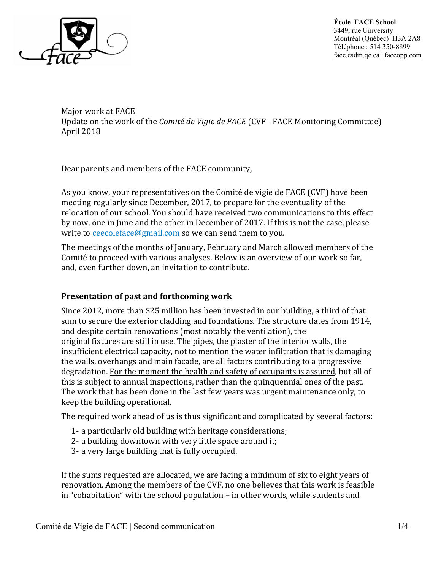

**École FACE School** 3449, rue University Montréal (Québec) H3A 2A8 Téléphone : 514 350-8899 face.csdm.qc.ca | faceopp.com

Major work at FACE Update on the work of the *Comité de Vigie de FACE* (CVF - FACE Monitoring Committee) April 2018

Dear parents and members of the FACE community,

As you know, your representatives on the Comité de vigie de FACE (CVF) have been meeting regularly since December, 2017, to prepare for the eventuality of the relocation of our school. You should have received two communications to this effect by now, one in June and the other in December of 2017. If this is not the case, please write to ceecoleface@gmail.com so we can send them to you.

The meetings of the months of January, February and March allowed members of the Comité to proceed with various analyses. Below is an overview of our work so far, and, even further down, an invitation to contribute.

## **Presentation of past and forthcoming work**

Since  $2012$ , more than \$25 million has been invested in our building, a third of that sum to secure the exterior cladding and foundations. The structure dates from 1914, and despite certain renovations (most notably the ventilation), the original fixtures are still in use. The pipes, the plaster of the interior walls, the insufficient electrical capacity, not to mention the water infiltration that is damaging the walls, overhangs and main facade, are all factors contributing to a progressive degradation. For the moment the health and safety of occupants is assured, but all of this is subject to annual inspections, rather than the quinquennial ones of the past. The work that has been done in the last few years was urgent maintenance only, to keep the building operational.

The required work ahead of us is thus significant and complicated by several factors:

- 1- a particularly old building with heritage considerations;
- 2- a building downtown with very little space around it;
- 3- a very large building that is fully occupied.

If the sums requested are allocated, we are facing a minimum of six to eight years of renovation. Among the members of the CVF, no one believes that this work is feasible in "cohabitation" with the school population  $-$  in other words, while students and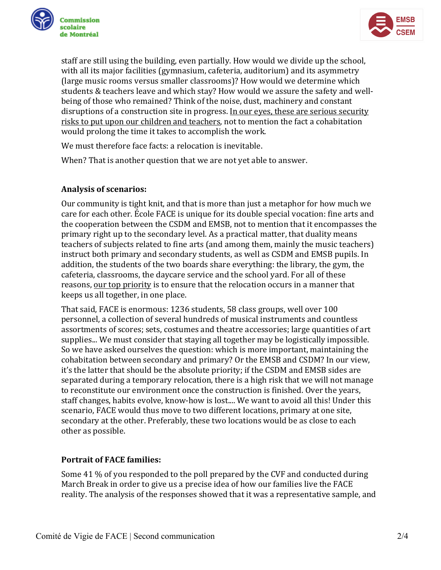



staff are still using the building, even partially. How would we divide up the school, with all its major facilities (gymnasium, cafeteria, auditorium) and its asymmetry (large music rooms versus smaller classrooms)? How would we determine which students & teachers leave and which stay? How would we assure the safety and wellbeing of those who remained? Think of the noise, dust, machinery and constant disruptions of a construction site in progress. In our eves, these are serious security risks to put upon our children and teachers, not to mention the fact a cohabitation would prolong the time it takes to accomplish the work.

We must therefore face facts: a relocation is inevitable.

When? That is another question that we are not yet able to answer.

## **Analysis of scenarios:**

Our community is tight knit, and that is more than just a metaphor for how much we care for each other. École FACE is unique for its double special vocation: fine arts and the cooperation between the CSDM and EMSB, not to mention that it encompasses the primary right up to the secondary level. As a practical matter, that duality means teachers of subjects related to fine arts (and among them, mainly the music teachers) instruct both primary and secondary students, as well as CSDM and EMSB pupils. In addition, the students of the two boards share everything: the library, the gym, the cafeteria, classrooms, the daycare service and the school yard. For all of these reasons, our top priority is to ensure that the relocation occurs in a manner that keeps us all together, in one place.

That said, FACE is enormous: 1236 students, 58 class groups, well over 100 personnel, a collection of several hundreds of musical instruments and countless assortments of scores; sets, costumes and theatre accessories; large quantities of art supplies... We must consider that staying all together may be logistically impossible. So we have asked ourselves the question: which is more important, maintaining the cohabitation between secondary and primary? Or the EMSB and CSDM? In our view, it's the latter that should be the absolute priority; if the CSDM and EMSB sides are separated during a temporary relocation, there is a high risk that we will not manage to reconstitute our environment once the construction is finished. Over the years, staff changes, habits evolve, know-how is lost.... We want to avoid all this! Under this scenario, FACE would thus move to two different locations, primary at one site, secondary at the other. Preferably, these two locations would be as close to each other as possible.

## **Portrait of FACE families:**

Some 41 % of you responded to the poll prepared by the CVF and conducted during March Break in order to give us a precise idea of how our families live the FACE reality. The analysis of the responses showed that it was a representative sample, and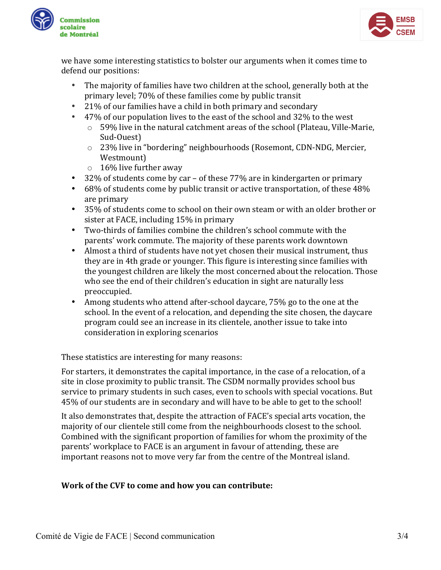



we have some interesting statistics to bolster our arguments when it comes time to defend our positions:

- The majority of families have two children at the school, generally both at the primary level; 70% of these families come by public transit
- 21% of our families have a child in both primary and secondary
- 47% of our population lives to the east of the school and  $32\%$  to the west
	- $\circ$  59% live in the natural catchment areas of the school (Plateau, Ville-Marie, Sud-Ouest)
	- $\circ$  23% live in "bordering" neighbourhoods (Rosemont, CDN-NDG, Mercier, Westmount)
	- $\circ$  16% live further away
- 32% of students come by car of these  $77%$  are in kindergarten or primary
- 68% of students come by public transit or active transportation, of these  $48\%$ are primary
- 35% of students come to school on their own steam or with an older brother or sister at FACE, including  $15\%$  in primary
- Two-thirds of families combine the children's school commute with the parents' work commute. The majority of these parents work downtown
- Almost a third of students have not yet chosen their musical instrument, thus they are in 4th grade or younger. This figure is interesting since families with the youngest children are likely the most concerned about the relocation. Those who see the end of their children's education in sight are naturally less preoccupied.
- Among students who attend after-school daycare,  $75\%$  go to the one at the school. In the event of a relocation, and depending the site chosen, the daycare program could see an increase in its clientele, another issue to take into consideration in exploring scenarios

These statistics are interesting for many reasons:

For starters, it demonstrates the capital importance, in the case of a relocation, of a site in close proximity to public transit. The CSDM normally provides school bus service to primary students in such cases, even to schools with special vocations. But 45% of our students are in secondary and will have to be able to get to the school!

It also demonstrates that, despite the attraction of FACE's special arts vocation, the majority of our clientele still come from the neighbourhoods closest to the school. Combined with the significant proportion of families for whom the proximity of the parents' workplace to FACE is an argument in favour of attending, these are important reasons not to move very far from the centre of the Montreal island.

## **Work of the CVF to come and how you can contribute:**